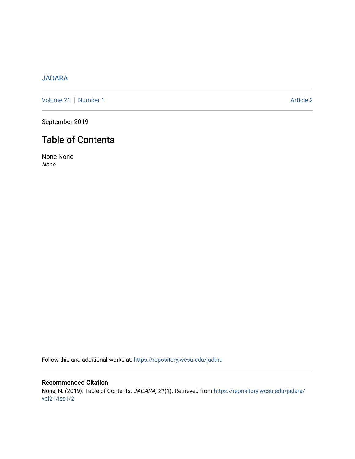# [JADARA](https://repository.wcsu.edu/jadara)

[Volume 21](https://repository.wcsu.edu/jadara/vol21) | [Number 1](https://repository.wcsu.edu/jadara/vol21/iss1) Article 2

September 2019

# Table of Contents

None None None

Follow this and additional works at: [https://repository.wcsu.edu/jadara](https://repository.wcsu.edu/jadara?utm_source=repository.wcsu.edu%2Fjadara%2Fvol21%2Fiss1%2F2&utm_medium=PDF&utm_campaign=PDFCoverPages)

Recommended Citation None, N. (2019). Table of Contents. JADARA, 21(1). Retrieved from [https://repository.wcsu.edu/jadara/](https://repository.wcsu.edu/jadara/vol21/iss1/2?utm_source=repository.wcsu.edu%2Fjadara%2Fvol21%2Fiss1%2F2&utm_medium=PDF&utm_campaign=PDFCoverPages) [vol21/iss1/2](https://repository.wcsu.edu/jadara/vol21/iss1/2?utm_source=repository.wcsu.edu%2Fjadara%2Fvol21%2Fiss1%2F2&utm_medium=PDF&utm_campaign=PDFCoverPages)